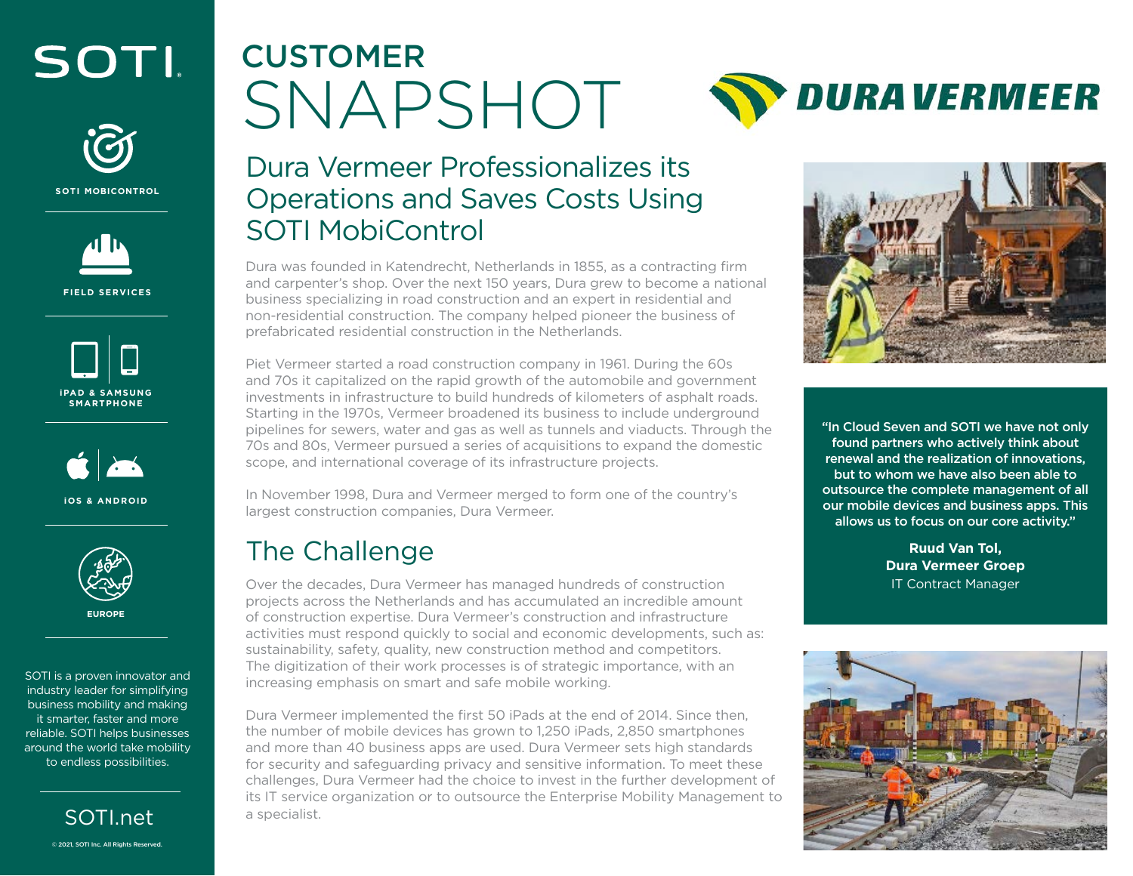## SOTI



**SOTI MOBICONTROL**



**FIELD SERVICES**





**iOS & ANDROID**



**EUROPE**

SOTI is a proven innovator and industry leader for simplifying business mobility and making it smarter, faster and more reliable. SOTI helps businesses around the world take mobility to endless possibilities.



# CUSTOMER SNAPSHOT

**DURA VERMEER** 

### Dura Vermeer Professionalizes its Operations and Saves Costs Using SOTI MobiControl

Dura was founded in Katendrecht, Netherlands in 1855, as a contracting firm and carpenter's shop. Over the next 150 years, Dura grew to become a national business specializing in road construction and an expert in residential and non-residential construction. The company helped pioneer the business of prefabricated residential construction in the Netherlands.

Piet Vermeer started a road construction company in 1961. During the 60s and 70s it capitalized on the rapid growth of the automobile and government investments in infrastructure to build hundreds of kilometers of asphalt roads. Starting in the 1970s, Vermeer broadened its business to include underground pipelines for sewers, water and gas as well as tunnels and viaducts. Through the 70s and 80s, Vermeer pursued a series of acquisitions to expand the domestic scope, and international coverage of its infrastructure projects.

In November 1998, Dura and Vermeer merged to form one of the country's largest construction companies, Dura Vermeer.

## The Challenge

Over the decades, Dura Vermeer has managed hundreds of construction projects across the Netherlands and has accumulated an incredible amount of construction expertise. Dura Vermeer's construction and infrastructure activities must respond quickly to social and economic developments, such as: sustainability, safety, quality, new construction method and competitors. The digitization of their work processes is of strategic importance, with an increasing emphasis on smart and safe mobile working.

Dura Vermeer implemented the first 50 iPads at the end of 2014. Since then, the number of mobile devices has grown to 1,250 iPads, 2,850 smartphones and more than 40 business apps are used. Dura Vermeer sets high standards for security and safeguarding privacy and sensitive information. To meet these challenges, Dura Vermeer had the choice to invest in the further development of its IT service organization or to outsource the Enterprise Mobility Management to a specialist.



"In Cloud Seven and SOTI we have not only found partners who actively think about renewal and the realization of innovations, but to whom we have also been able to outsource the complete management of all our mobile devices and business apps. This allows us to focus on our core activity."

> **Ruud Van Tol, Dura Vermeer Groep** IT Contract Manager